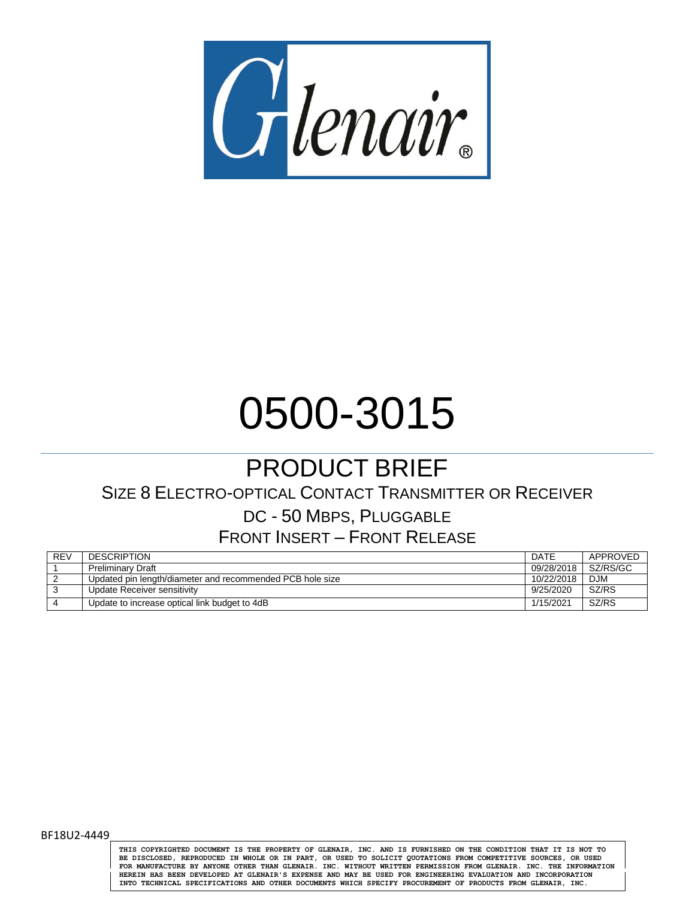

# 0500-3015

## PRODUCT BRIEF

## SIZE 8 ELECTRO-OPTICAL CONTACT TRANSMITTER OR RECEIVER

## DC - 50 MBPS, PLUGGABLE

## FRONT INSERT – FRONT RELEASE

| <b>REV</b> | <b>DESCRIPTION</b>                                        | DATE       | APPROVED   |
|------------|-----------------------------------------------------------|------------|------------|
|            | Preliminary Draft                                         | 09/28/2018 | SZ/RS/GC   |
|            | Updated pin length/diameter and recommended PCB hole size | 10/22/2018 | <b>DJM</b> |
|            | Update Receiver sensitivity                               | 9/25/2020  | SZ/RS      |
|            | Update to increase optical link budget to 4dB             | 1/15/2021  | SZ/RS      |

BF18U2-4449

**THIS COPYRIGHTED DOCUMENT IS THE PROPERTY OF GLENAIR, INC. AND IS FURNISHED ON THE CONDITION THAT IT IS NOT TO** BE DISCLOSED, REPRODUCED IN WHOLE OR IN PART, OR USED TO SOLICIT QUOTATIONS FROM COMPETITIVE SOURCES, OR USED<br>FOR MANUFACTURE BY ANYONE OTHER THAN GLENAIR. INC. WITHOUT WRITTEN PERMISSION FROM GLENAIR. INC. THE INFORMATION **HEREIN HAS BEEN DEVELOPED AT GLENAIR'S EXPENSE AND MAY BE USED FOR ENGINEERING EVALUATION AND INCORPORATION INTO TECHNICAL SPECIFICATIONS AND OTHER DOCUMENTS WHICH SPECIFY PROCUREMENT OF PRODUCTS FROM GLENAIR, INC.**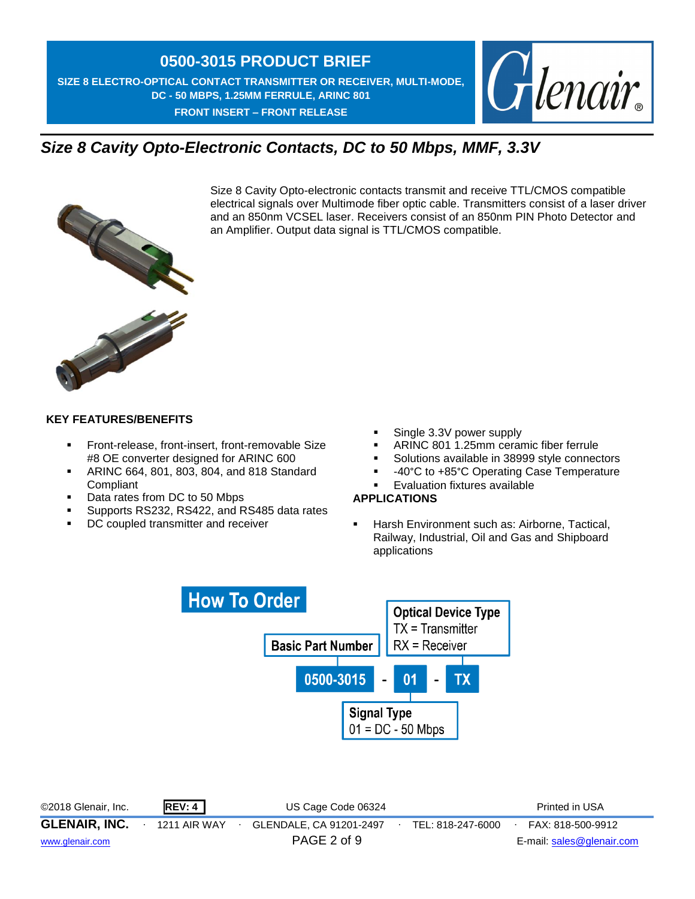**SIZE 8 ELECTRO-OPTICAL CONTACT TRANSMITTER OR RECEIVER, MULTI-MODE, DC - 50 MBPS, 1.25MM FERRULE, ARINC 801 FRONT INSERT – FRONT RELEASE** 



## *Size 8 Cavity Opto-Electronic Contacts, DC to 50 Mbps, MMF, 3.3V*



Size 8 Cavity Opto-electronic contacts transmit and receive TTL/CMOS compatible electrical signals over Multimode fiber optic cable. Transmitters consist of a laser driver and an 850nm VCSEL laser. Receivers consist of an 850nm PIN Photo Detector and an Amplifier. Output data signal is TTL/CMOS compatible.



#### **KEY FEATURES/BENEFITS**

- **Front-release, front-insert, front-removable Size** #8 OE converter designed for ARINC 600
- ARINC 664, 801, 803, 804, and 818 Standard Compliant
- Data rates from DC to 50 Mbps
- **Supports RS232, RS422, and RS485 data rates**
- **DC** coupled transmitter and receiver
- Single 3.3V power supply
- ARINC 801 1.25mm ceramic fiber ferrule
- Solutions available in 38999 style connectors
- -40°C to +85°C Operating Case Temperature
- Evaluation fixtures available

#### **APPLICATIONS**

 Harsh Environment such as: Airborne, Tactical, Railway, Industrial, Oil and Gas and Shipboard applications



©2018 Glenair, Inc. **REV: 4** US Cage Code 06324 Printed in USA **GLENAIR, INC.** ∙ 1211 AIR WAY ∙ GLENDALE, CA 91201-2497∙ TEL: 818-247-6000∙ FAX: 818-500-9912 [www.glenair.com](http://www.glenair.com/) PAGE 2 of 9 E-mail: [sales@glenair.com](mailto:sales@glenair.com)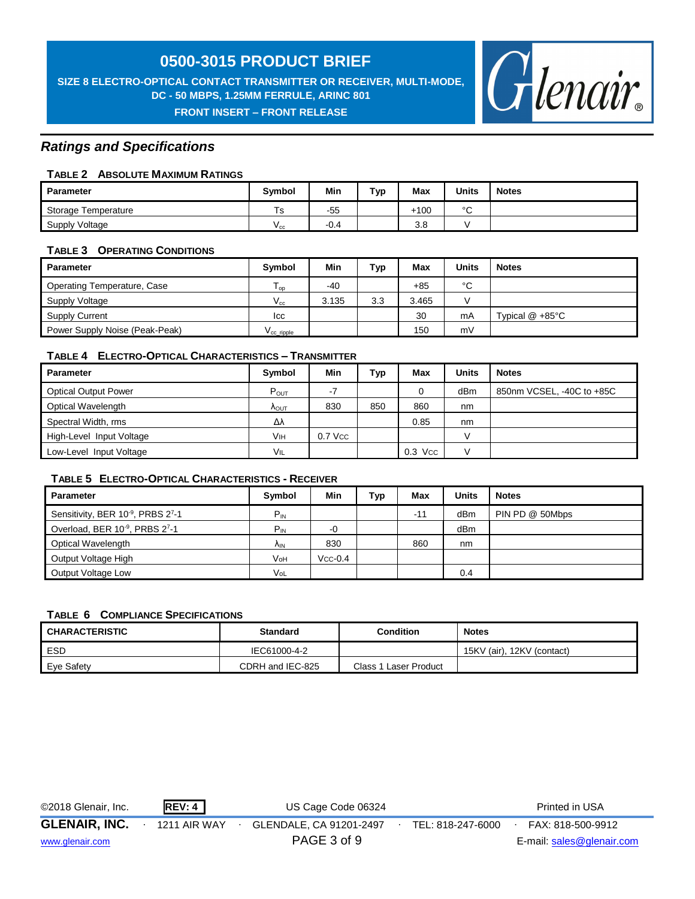#### **SIZE 8 ELECTRO-OPTICAL CONTACT TRANSMITTER OR RECEIVER, MULTI-MODE, DC - 50 MBPS, 1.25MM FERRULE, ARINC 801 FRONT INSERT – FRONT RELEASE**



#### *Ratings and Specifications*

#### **TABLE 2 ABSOLUTE MAXIMUM RATINGS**

| Parameter           | Symbol       | Min    | Typ | Max    | <b>Units</b> | <b>Notes</b> |
|---------------------|--------------|--------|-----|--------|--------------|--------------|
| Storage Temperature | 1s           | $-55$  |     | $+100$ | $\sim$<br>ັ  |              |
| Supply Voltage      | $v_{\rm cc}$ | $-0.4$ |     | 3.8    |              |              |

#### **TABLE 3 OPERATING CONDITIONS**

| Parameter                      | <b>Symbol</b>              | Min   | Typ | Max   | <b>Units</b>  | <b>Notes</b>              |
|--------------------------------|----------------------------|-------|-----|-------|---------------|---------------------------|
| Operating Temperature, Case    | $\mathsf{I}_{\mathsf{OD}}$ | $-40$ |     | $+85$ | °C            |                           |
| Supply Voltage                 | $V_{\rm cc}$               | 3.135 | 3.3 | 3.465 | $\mathcal{L}$ |                           |
| <b>Supply Current</b>          | Icc                        |       |     | 30    | mA            | Typical $@ + 85^{\circ}C$ |
| Power Supply Noise (Peak-Peak) | $\rm V_{cc}$ ripple        |       |     | 150   | mV            |                           |

#### **TABLE 4 ELECTRO-OPTICAL CHARACTERISTICS – TRANSMITTER**

| <b>Parameter</b>            | Symbol                 | Min       | Тур | Max       | <b>Units</b> | <b>Notes</b>              |
|-----------------------------|------------------------|-----------|-----|-----------|--------------|---------------------------|
| <b>Optical Output Power</b> | $P_{OUT}$              | -7        |     | 0         | dBm          | 850nm VCSEL, -40C to +85C |
| Optical Wavelength          | $\Lambda_{\text{OUT}}$ | 830       | 850 | 860       | nm           |                           |
| Spectral Width, rms         | Δλ                     |           |     | 0.85      | nm           |                           |
| High-Level Input Voltage    | Vıн                    | $0.7$ Vcc |     |           |              |                           |
| Low-Level Input Voltage     | VIL                    |           |     | $0.3$ Vcc |              |                           |

#### **TABLE 5 ELECTRO-OPTICAL CHARACTERISTICS - RECEIVER**

| <b>Parameter</b>                                           | Symbol          | Min       | Typ | Max   | <b>Units</b> | <b>Notes</b>    |
|------------------------------------------------------------|-----------------|-----------|-----|-------|--------------|-----------------|
| Sensitivity, BER 10 <sup>-9</sup> , PRBS 2 <sup>7</sup> -1 | $P_{IN}$        |           |     | $-1'$ | dBm          | PIN PD @ 50Mbps |
| Overload, BER 10 <sup>-9</sup> , PRBS 2 <sup>7</sup> -1    | $P_{IN}$        | -0        |     |       | dBm          |                 |
| Optical Wavelength                                         | Λ <sub>IN</sub> | 830       |     | 860   | nm           |                 |
| Output Voltage High                                        | VoH             | $Vcc-0.4$ |     |       |              |                 |
| Output Voltage Low                                         | VoL             |           |     |       | 0.4          |                 |

#### **TABLE 6 COMPLIANCE SPECIFICATIONS**

| <b>CHARACTERISTIC</b> | <b>Standard</b>  | <b>Condition</b>      | <b>Notes</b>               |
|-----------------------|------------------|-----------------------|----------------------------|
| ESD                   | IEC61000-4-2     |                       | 15KV (air), 12KV (contact) |
| Eye Safety            | CDRH and IEC-825 | Class 1 Laser Product |                            |

| ©2018 Glenair, Inc.  | REV: 4       | US Cage Code 06324      |                   | Printed in USA            |  |
|----------------------|--------------|-------------------------|-------------------|---------------------------|--|
| <b>GLENAIR, INC.</b> | 1211 AIR WAY | GLENDALE, CA 91201-2497 | TEL: 818-247-6000 | FAX: 818-500-9912         |  |
| www.glenair.com      |              | PAGE 3 of 9             |                   | E-mail: sales@glenair.com |  |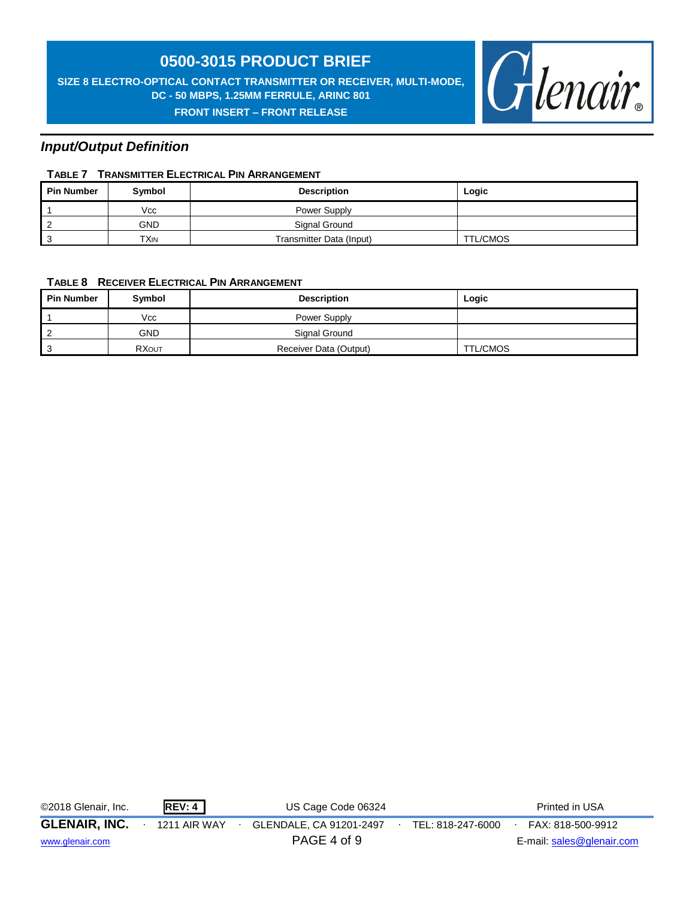**SIZE 8 ELECTRO-OPTICAL CONTACT TRANSMITTER OR RECEIVER, MULTI-MODE, DC - 50 MBPS, 1.25MM FERRULE, ARINC 801 FRONT INSERT – FRONT RELEASE** 



#### *Input/Output Definition*

#### **TABLE 7 TRANSMITTER ELECTRICAL PIN ARRANGEMENT**

| <b>Pin Number</b> | Symbol | <b>Description</b>       | Logic           |
|-------------------|--------|--------------------------|-----------------|
|                   | Vcc    | Power Supply             |                 |
|                   | GND    | Signal Ground            |                 |
|                   | TXIN   | Transmitter Data (Input) | <b>TTL/CMOS</b> |

#### **TABLE 8 RECEIVER ELECTRICAL PIN ARRANGEMENT**

| <b>Pin Number</b> | Symbol       | <b>Description</b>     | Logic    |
|-------------------|--------------|------------------------|----------|
|                   | Vcc          | Power Supply           |          |
|                   | GND          | Signal Ground          |          |
|                   | <b>RXOUT</b> | Receiver Data (Output) | TTL/CMOS |

| ©2018 Glenair, Inc.  | REV: 4       | US Cage Code 06324      |                   | Printed in USA            |
|----------------------|--------------|-------------------------|-------------------|---------------------------|
| <b>GLENAIR, INC.</b> | 1211 AIR WAY | GLENDALE, CA 91201-2497 | TEL: 818-247-6000 | FAX: 818-500-9912         |
| www.glenair.com      |              | PAGE 4 of 9             |                   | E-mail: sales@glenair.com |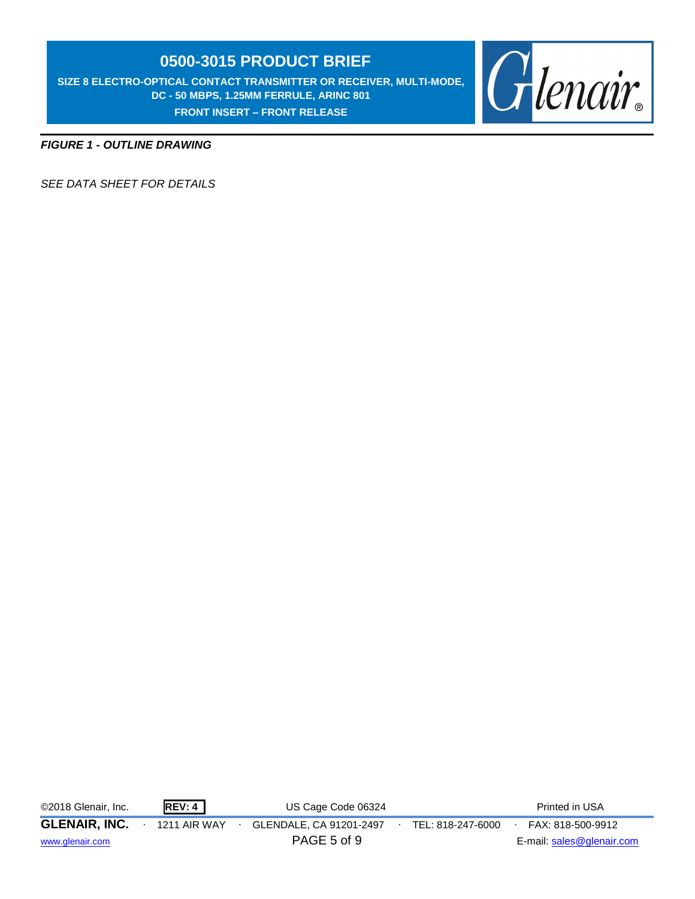**SIZE 8 ELECTRO-OPTICAL CONTACT TRANSMITTER OR RECEIVER, MULTI-MODE, DC - 50 MBPS, 1.25MM FERRULE, ARINC 801 FRONT INSERT – FRONT RELEASE** 



*FIGURE 1 - OUTLINE DRAWING*

*SEE DATA SHEET FOR DETAILS*

©2018 Glenair, Inc. **REV: 4** US Cage Code 06324 Printed in USA

**GLENAIR, INC.** ∙ 1211 AIR WAY ∙ GLENDALE, CA 91201-2497∙ TEL: 818-247-6000∙ FAX: 818-500-9912

[www.glenair.com](http://www.glenair.com/) **E-mail:** [sales@glenair.com](mailto:sales@glenair.com)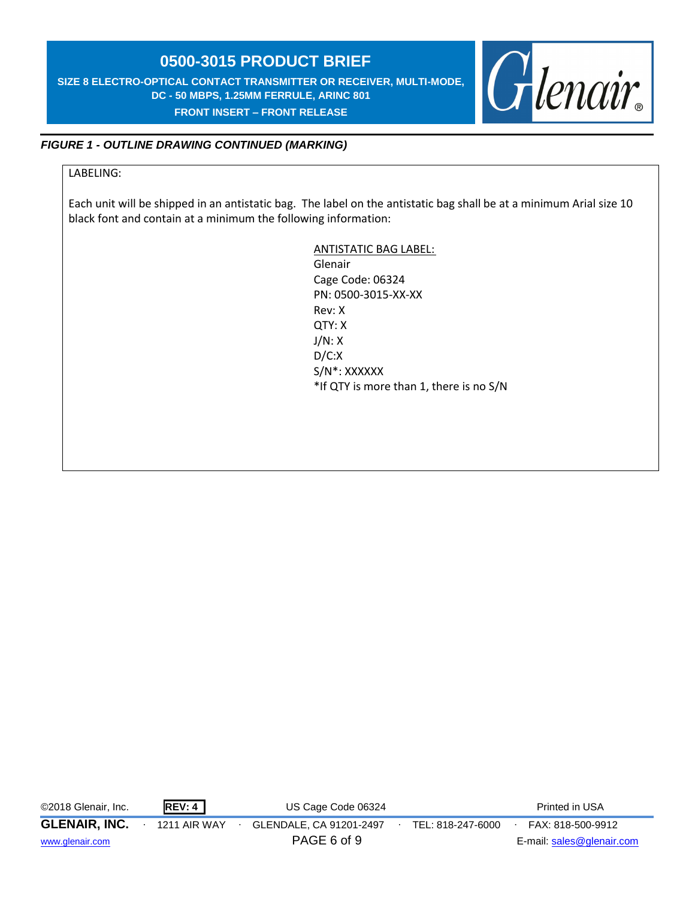**SIZE 8 ELECTRO-OPTICAL CONTACT TRANSMITTER OR RECEIVER, MULTI-MODE, DC - 50 MBPS, 1.25MM FERRULE, ARINC 801 FRONT INSERT – FRONT RELEASE** 



#### *FIGURE 1 - OUTLINE DRAWING CONTINUED (MARKING)*

#### LABELING:

Each unit will be shipped in an antistatic bag. The label on the antistatic bag shall be at a minimum Arial size 10 black font and contain at a minimum the following information:

> ANTISTATIC BAG LABEL: Glenair Cage Code: 06324 PN: 0500-3015-XX-XX Rev: X QTY: X J/N: X D/C:X S/N\*: XXXXXX \*If QTY is more than 1, there is no S/N

©2018 Glenair, Inc. **REV: 4** US Cage Code 06324 Printed in USA

**GLENAIR, INC.** ∙ 1211 AIR WAY ∙ GLENDALE, CA 91201-2497∙ TEL: 818-247-6000∙ FAX: 818-500-9912

[www.glenair.com](http://www.glenair.com/) **E-mail:** [sales@glenair.com](mailto:sales@glenair.com)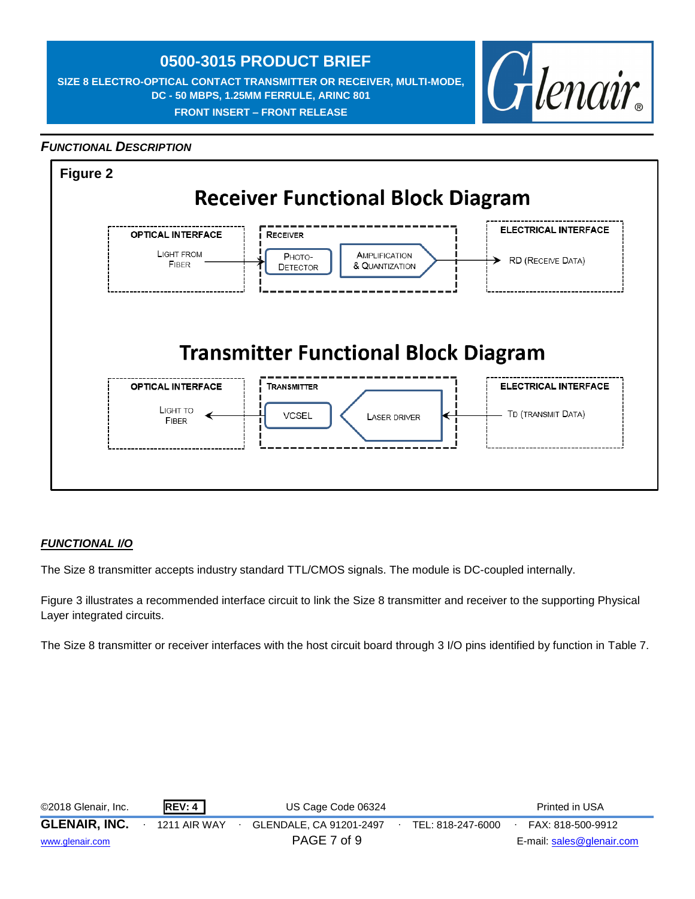**SIZE 8 ELECTRO-OPTICAL CONTACT TRANSMITTER OR RECEIVER, MULTI-MODE, DC - 50 MBPS, 1.25MM FERRULE, ARINC 801 FRONT INSERT – FRONT RELEASE** 



#### *FUNCTIONAL DESCRIPTION*



#### *FUNCTIONAL I/O*

The Size 8 transmitter accepts industry standard TTL/CMOS signals. The module is DC-coupled internally.

Figure 3 illustrates a recommended interface circuit to link the Size 8 transmitter and receiver to the supporting Physical Layer integrated circuits.

The Size 8 transmitter or receiver interfaces with the host circuit board through 3 I/O pins identified by function in Table 7.

| ©2018 Glenair, Inc.  | <b>REV: 4</b> | US Cage Code 06324      |                   | Printed in USA            |  |
|----------------------|---------------|-------------------------|-------------------|---------------------------|--|
| <b>GLENAIR, INC.</b> | 1211 AIR WAY  | GLENDALE, CA 91201-2497 | TEL: 818-247-6000 | FAX: 818-500-9912         |  |
| www.glenair.com      |               | PAGE 7 of 9             |                   | E-mail: sales@glenair.com |  |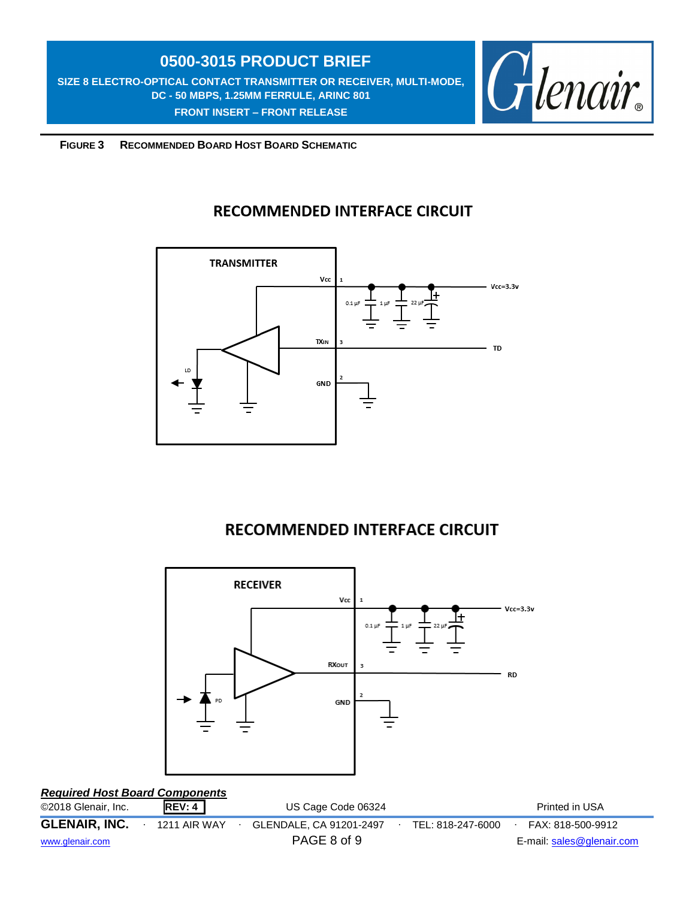**SIZE 8 ELECTRO-OPTICAL CONTACT TRANSMITTER OR RECEIVER, MULTI-MODE, DC - 50 MBPS, 1.25MM FERRULE, ARINC 801 FRONT INSERT – FRONT RELEASE** 



 **FIGURE 3 RECOMMENDED BOARD HOST BOARD SCHEMATIC**

### **RECOMMENDED INTERFACE CIRCUIT**



## **RECOMMENDED INTERFACE CIRCUIT**